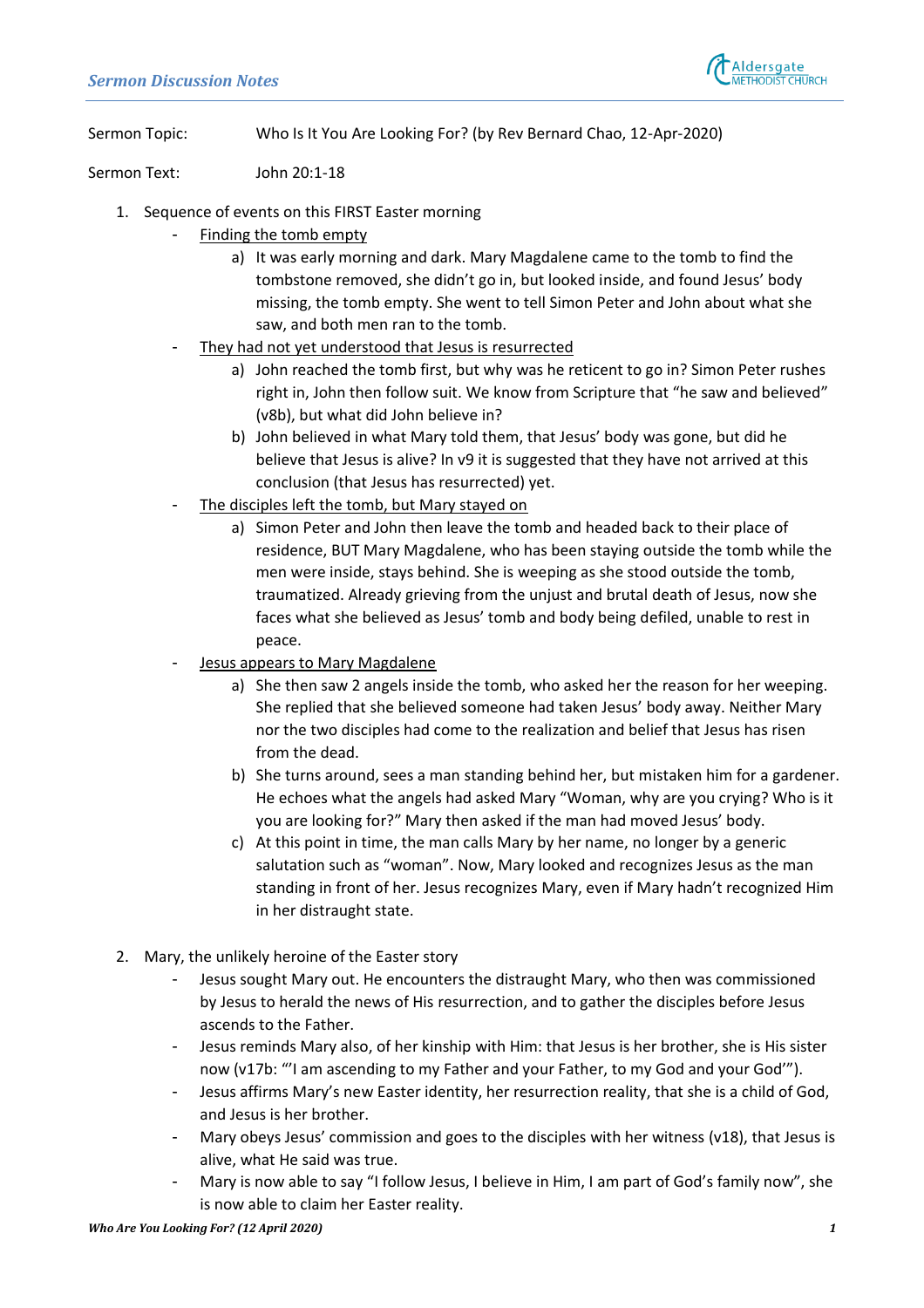

Sermon Topic: Who Is It You Are Looking For? (by Rev Bernard Chao, 12-Apr-2020)

Sermon Text: John 20:1-18

- 1. Sequence of events on this FIRST Easter morning
	- Finding the tomb empty
		- a) It was early morning and dark. Mary Magdalene came to the tomb to find the tombstone removed, she didn't go in, but looked inside, and found Jesus' body missing, the tomb empty. She went to tell Simon Peter and John about what she saw, and both men ran to the tomb.
	- They had not yet understood that Jesus is resurrected
		- a) John reached the tomb first, but why was he reticent to go in? Simon Peter rushes right in, John then follow suit. We know from Scripture that "he saw and believed" (v8b), but what did John believe in?
		- b) John believed in what Mary told them, that Jesus' body was gone, but did he believe that Jesus is alive? In v9 it is suggested that they have not arrived at this conclusion (that Jesus has resurrected) yet.
	- The disciples left the tomb, but Mary stayed on
		- a) Simon Peter and John then leave the tomb and headed back to their place of residence, BUT Mary Magdalene, who has been staying outside the tomb while the men were inside, stays behind. She is weeping as she stood outside the tomb, traumatized. Already grieving from the unjust and brutal death of Jesus, now she faces what she believed as Jesus' tomb and body being defiled, unable to rest in peace.
	- Jesus appears to Mary Magdalene
		- a) She then saw 2 angels inside the tomb, who asked her the reason for her weeping. She replied that she believed someone had taken Jesus' body away. Neither Mary nor the two disciples had come to the realization and belief that Jesus has risen from the dead.
		- b) She turns around, sees a man standing behind her, but mistaken him for a gardener. He echoes what the angels had asked Mary "Woman, why are you crying? Who is it you are looking for?" Mary then asked if the man had moved Jesus' body.
		- c) At this point in time, the man calls Mary by her name, no longer by a generic salutation such as "woman". Now, Mary looked and recognizes Jesus as the man standing in front of her. Jesus recognizes Mary, even if Mary hadn't recognized Him in her distraught state.
- 2. Mary, the unlikely heroine of the Easter story
	- Jesus sought Mary out. He encounters the distraught Mary, who then was commissioned by Jesus to herald the news of His resurrection, and to gather the disciples before Jesus ascends to the Father.
	- Jesus reminds Mary also, of her kinship with Him: that Jesus is her brother, she is His sister now (v17b: "'I am ascending to my Father and your Father, to my God and your God'").
	- Jesus affirms Mary's new Easter identity, her resurrection reality, that she is a child of God, and Jesus is her brother.
	- Mary obeys Jesus' commission and goes to the disciples with her witness (v18), that Jesus is alive, what He said was true.
	- Mary is now able to say "I follow Jesus, I believe in Him, I am part of God's family now", she is now able to claim her Easter reality.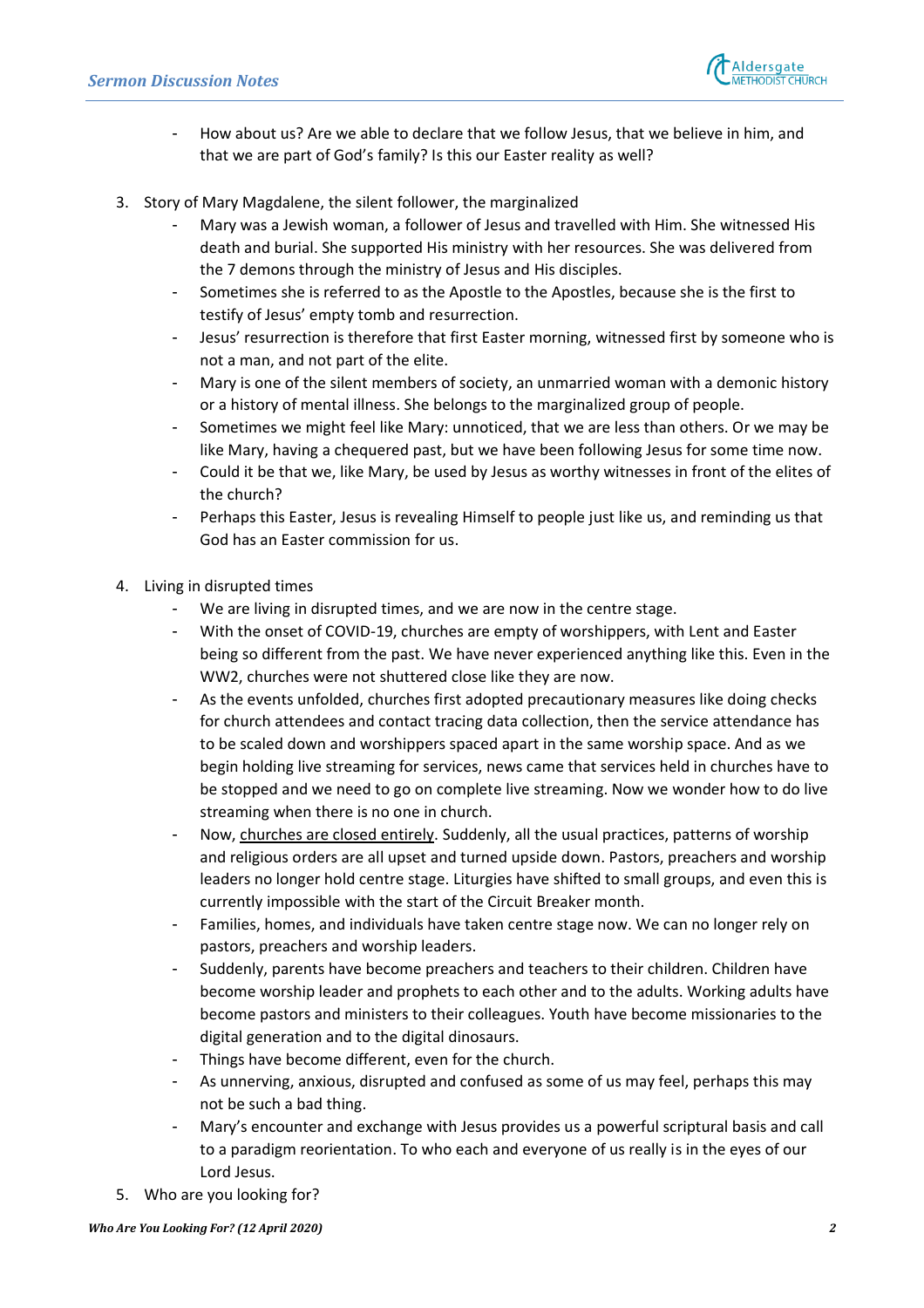

- How about us? Are we able to declare that we follow Jesus, that we believe in him, and that we are part of God's family? Is this our Easter reality as well?
- 3. Story of Mary Magdalene, the silent follower, the marginalized
	- Mary was a Jewish woman, a follower of Jesus and travelled with Him. She witnessed His death and burial. She supported His ministry with her resources. She was delivered from the 7 demons through the ministry of Jesus and His disciples.
	- Sometimes she is referred to as the Apostle to the Apostles, because she is the first to testify of Jesus' empty tomb and resurrection.
	- Jesus' resurrection is therefore that first Easter morning, witnessed first by someone who is not a man, and not part of the elite.
	- Mary is one of the silent members of society, an unmarried woman with a demonic history or a history of mental illness. She belongs to the marginalized group of people.
	- Sometimes we might feel like Mary: unnoticed, that we are less than others. Or we may be like Mary, having a chequered past, but we have been following Jesus for some time now.
	- Could it be that we, like Mary, be used by Jesus as worthy witnesses in front of the elites of the church?
	- Perhaps this Easter, Jesus is revealing Himself to people just like us, and reminding us that God has an Easter commission for us.
- 4. Living in disrupted times
	- We are living in disrupted times, and we are now in the centre stage.
	- With the onset of COVID-19, churches are empty of worshippers, with Lent and Easter being so different from the past. We have never experienced anything like this. Even in the WW2, churches were not shuttered close like they are now.
	- As the events unfolded, churches first adopted precautionary measures like doing checks for church attendees and contact tracing data collection, then the service attendance has to be scaled down and worshippers spaced apart in the same worship space. And as we begin holding live streaming for services, news came that services held in churches have to be stopped and we need to go on complete live streaming. Now we wonder how to do live streaming when there is no one in church.
	- Now, churches are closed entirely. Suddenly, all the usual practices, patterns of worship and religious orders are all upset and turned upside down. Pastors, preachers and worship leaders no longer hold centre stage. Liturgies have shifted to small groups, and even this is currently impossible with the start of the Circuit Breaker month.
	- Families, homes, and individuals have taken centre stage now. We can no longer rely on pastors, preachers and worship leaders.
	- Suddenly, parents have become preachers and teachers to their children. Children have become worship leader and prophets to each other and to the adults. Working adults have become pastors and ministers to their colleagues. Youth have become missionaries to the digital generation and to the digital dinosaurs.
	- Things have become different, even for the church.
	- As unnerving, anxious, disrupted and confused as some of us may feel, perhaps this may not be such a bad thing.
	- Mary's encounter and exchange with Jesus provides us a powerful scriptural basis and call to a paradigm reorientation. To who each and everyone of us really is in the eyes of our Lord Jesus.
- 5. Who are you looking for?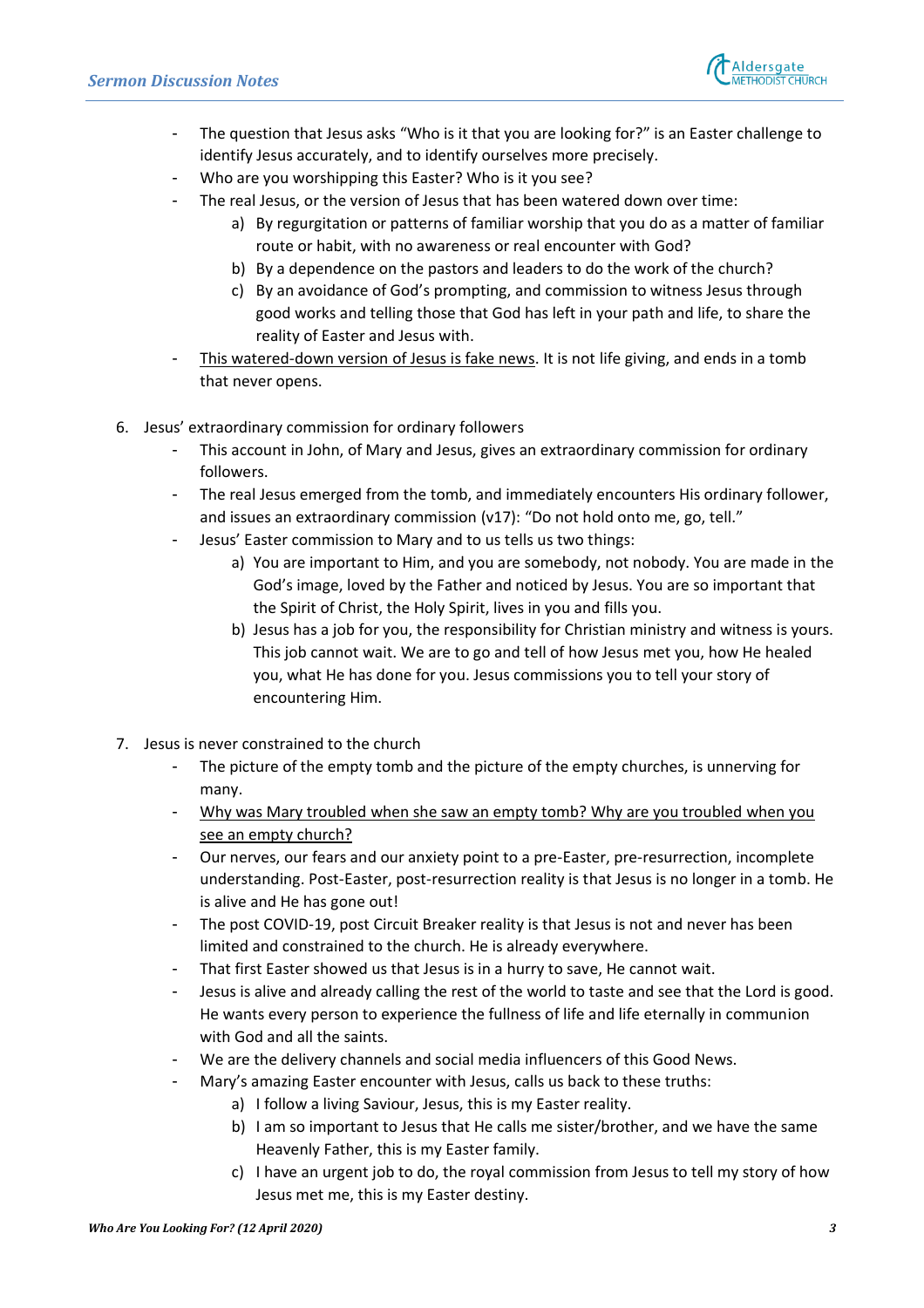

- The question that Jesus asks "Who is it that you are looking for?" is an Easter challenge to identify Jesus accurately, and to identify ourselves more precisely.
- Who are you worshipping this Easter? Who is it you see?
- The real Jesus, or the version of Jesus that has been watered down over time:
	- a) By regurgitation or patterns of familiar worship that you do as a matter of familiar route or habit, with no awareness or real encounter with God?
	- b) By a dependence on the pastors and leaders to do the work of the church?
	- c) By an avoidance of God's prompting, and commission to witness Jesus through good works and telling those that God has left in your path and life, to share the reality of Easter and Jesus with.
- This watered-down version of Jesus is fake news. It is not life giving, and ends in a tomb that never opens.
- 6. Jesus' extraordinary commission for ordinary followers
	- This account in John, of Mary and Jesus, gives an extraordinary commission for ordinary followers.
	- The real Jesus emerged from the tomb, and immediately encounters His ordinary follower, and issues an extraordinary commission (v17): "Do not hold onto me, go, tell."
		- Jesus' Easter commission to Mary and to us tells us two things:
			- a) You are important to Him, and you are somebody, not nobody. You are made in the God's image, loved by the Father and noticed by Jesus. You are so important that the Spirit of Christ, the Holy Spirit, lives in you and fills you.
			- b) Jesus has a job for you, the responsibility for Christian ministry and witness is yours. This job cannot wait. We are to go and tell of how Jesus met you, how He healed you, what He has done for you. Jesus commissions you to tell your story of encountering Him.
- 7. Jesus is never constrained to the church
	- The picture of the empty tomb and the picture of the empty churches, is unnerving for many.
	- Why was Mary troubled when she saw an empty tomb? Why are you troubled when you see an empty church?
	- Our nerves, our fears and our anxiety point to a pre-Easter, pre-resurrection, incomplete understanding. Post-Easter, post-resurrection reality is that Jesus is no longer in a tomb. He is alive and He has gone out!
	- The post COVID-19, post Circuit Breaker reality is that Jesus is not and never has been limited and constrained to the church. He is already everywhere.
	- That first Easter showed us that Jesus is in a hurry to save, He cannot wait.
	- Jesus is alive and already calling the rest of the world to taste and see that the Lord is good. He wants every person to experience the fullness of life and life eternally in communion with God and all the saints.
	- We are the delivery channels and social media influencers of this Good News.
		- Mary's amazing Easter encounter with Jesus, calls us back to these truths:
			- a) I follow a living Saviour, Jesus, this is my Easter reality.
			- b) I am so important to Jesus that He calls me sister/brother, and we have the same Heavenly Father, this is my Easter family.
			- c) I have an urgent job to do, the royal commission from Jesus to tell my story of how Jesus met me, this is my Easter destiny.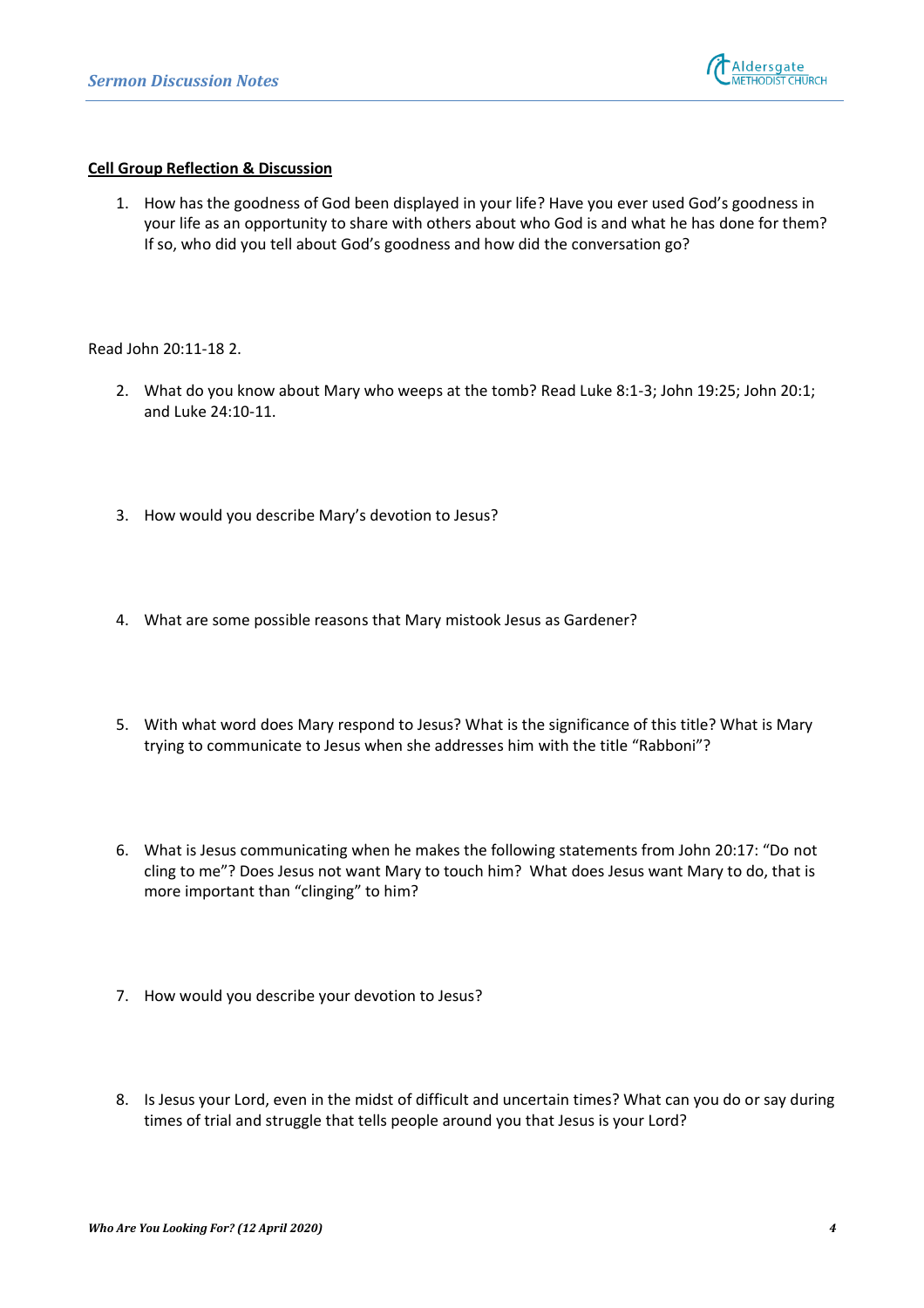

## **Cell Group Reflection & Discussion**

1. How has the goodness of God been displayed in your life? Have you ever used God's goodness in your life as an opportunity to share with others about who God is and what he has done for them? If so, who did you tell about God's goodness and how did the conversation go?

Read John 20:11-18 2.

- 2. What do you know about Mary who weeps at the tomb? Read Luke 8:1-3; John 19:25; John 20:1; and Luke 24:10-11.
- 3. How would you describe Mary's devotion to Jesus?
- 4. What are some possible reasons that Mary mistook Jesus as Gardener?
- 5. With what word does Mary respond to Jesus? What is the significance of this title? What is Mary trying to communicate to Jesus when she addresses him with the title "Rabboni"?
- 6. What is Jesus communicating when he makes the following statements from John 20:17: "Do not cling to me"? Does Jesus not want Mary to touch him? What does Jesus want Mary to do, that is more important than "clinging" to him?
- 7. How would you describe your devotion to Jesus?
- 8. Is Jesus your Lord, even in the midst of difficult and uncertain times? What can you do or say during times of trial and struggle that tells people around you that Jesus is your Lord?